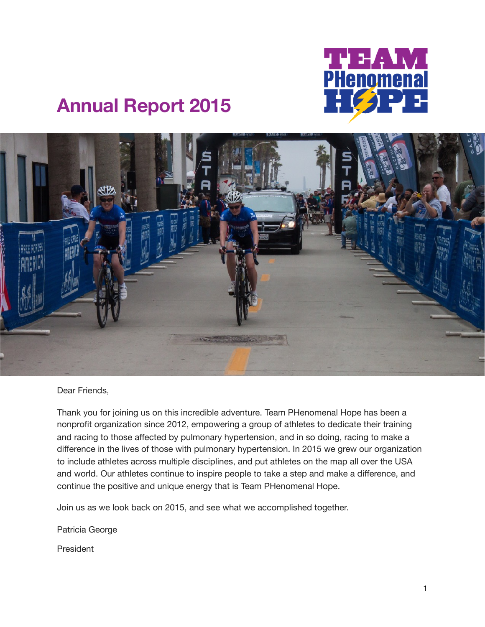

# **Annual Report 2015**



Dear Friends,

Thank you for joining us on this incredible adventure. Team PHenomenal Hope has been a nonprofit organization since 2012, empowering a group of athletes to dedicate their training and racing to those affected by pulmonary hypertension, and in so doing, racing to make a difference in the lives of those with pulmonary hypertension. In 2015 we grew our organization to include athletes across multiple disciplines, and put athletes on the map all over the USA and world. Our athletes continue to inspire people to take a step and make a difference, and continue the positive and unique energy that is Team PHenomenal Hope.

Join us as we look back on 2015, and see what we accomplished together.

Patricia George

President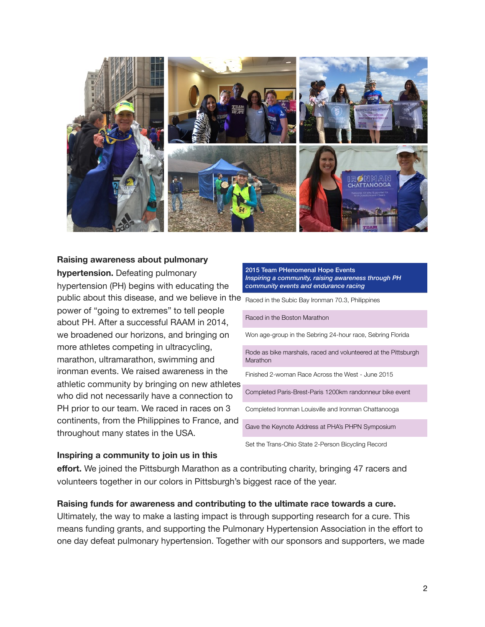

## **Raising awareness about pulmonary**

**hypertension.** Defeating pulmonary hypertension (PH) begins with educating the public about this disease, and we believe in the Raced in the Subic Bay Ironman 70.3, Philippines power of "going to extremes" to tell people about PH. After a successful RAAM in 2014, we broadened our horizons, and bringing on more athletes competing in ultracycling, marathon, ultramarathon, swimming and ironman events. We raised awareness in the athletic community by bringing on new athletes who did not necessarily have a connection to PH prior to our team. We raced in races on 3 continents, from the Philippines to France, and throughout many states in the USA.



### **Inspiring a community to join us in this**

**effort.** We joined the Pittsburgh Marathon as a contributing charity, bringing 47 racers and volunteers together in our colors in Pittsburgh's biggest race of the year.

#### **Raising funds for awareness and contributing to the ultimate race towards a cure.**

Ultimately, the way to make a lasting impact is through supporting research for a cure. This means funding grants, and supporting the Pulmonary Hypertension Association in the effort to one day defeat pulmonary hypertension. Together with our sponsors and supporters, we made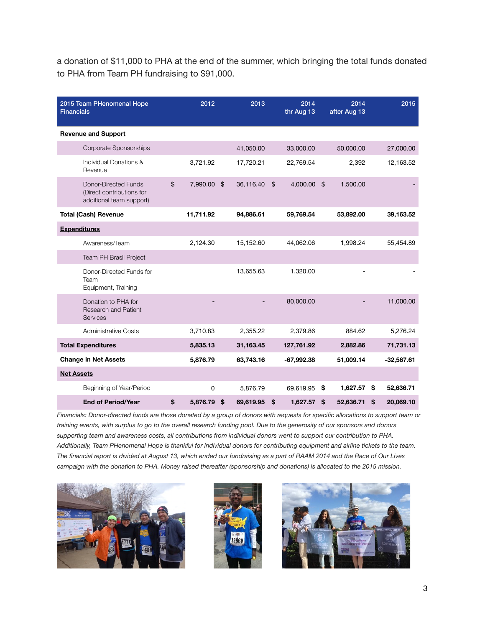a donation of \$11,000 to PHA at the end of the summer, which bringing the total funds donated to PHA from Team PH fundraising to \$91,000.

| 2015 Team PHenomenal Hope<br><b>Financials</b>                                | 2012              | 2013            | 2014<br>thr Aug 13 | 2014<br>after Aug 13 | 2015            |
|-------------------------------------------------------------------------------|-------------------|-----------------|--------------------|----------------------|-----------------|
| <b>Revenue and Support</b>                                                    |                   |                 |                    |                      |                 |
| Corporate Sponsorships                                                        |                   | 41,050.00       | 33,000.00          | 50,000.00            | 27,000.00       |
| Individual Donations &<br>Revenue                                             | 3,721.92          | 17,720.21       | 22,769.54          | 2,392                | 12,163.52       |
| Donor-Directed Funds<br>(Direct contributions for<br>additional team support) | \$<br>7,990.00 \$ | 36,116.40       | \$<br>4,000.00 \$  | 1,500.00             |                 |
| <b>Total (Cash) Revenue</b>                                                   | 11,711.92         | 94,886.61       | 59,769.54          | 53,892.00            | 39,163.52       |
| <b>Expenditures</b>                                                           |                   |                 |                    |                      |                 |
| Awareness/Team                                                                | 2,124.30          | 15,152.60       | 44,062.06          | 1,998.24             | 55,454.89       |
| <b>Team PH Brasil Project</b>                                                 |                   |                 |                    |                      |                 |
| Donor-Directed Funds for<br>Team<br>Equipment, Training                       |                   | 13,655.63       | 1,320.00           |                      |                 |
| Donation to PHA for<br><b>Research and Patient</b><br>Services                |                   |                 | 80,000.00          |                      | 11,000.00       |
| <b>Administrative Costs</b>                                                   | 3,710.83          | 2,355.22        | 2,379.86           | 884.62               | 5,276.24        |
| <b>Total Expenditures</b>                                                     | 5,835.13          | 31,163.45       | 127,761.92         | 2,882.86             | 71,731.13       |
| <b>Change in Net Assets</b>                                                   | 5,876.79          | 63,743.16       | $-67,992.38$       | 51,009.14            | $-32,567.61$    |
| <b>Net Assets</b>                                                             |                   |                 |                    |                      |                 |
| Beginning of Year/Period                                                      | 0                 | 5,876.79        | 69,619.95          | \$<br>1,627.57       | \$<br>52,636.71 |
| <b>End of Period/Year</b>                                                     | \$<br>5,876.79    | \$<br>69,619.95 | \$<br>1,627.57     | \$<br>52,636.71      | \$<br>20,069.10 |

*Financials: Donor-directed funds are those donated by a group of donors with requests for specific allocations to support team or training events, with surplus to go to the overall research funding pool. Due to the generosity of our sponsors and donors supporting team and awareness costs, all contributions from individual donors went to support our contribution to PHA. Additionally, Team PHenomenal Hope is thankful for individual donors for contributing equipment and airline tickets to the team. The financial report is divided at August 13, which ended our fundraising as a part of RAAM 2014 and the Race of Our Lives campaign with the donation to PHA. Money raised thereafter (sponsorship and donations) is allocated to the 2015 mission.*